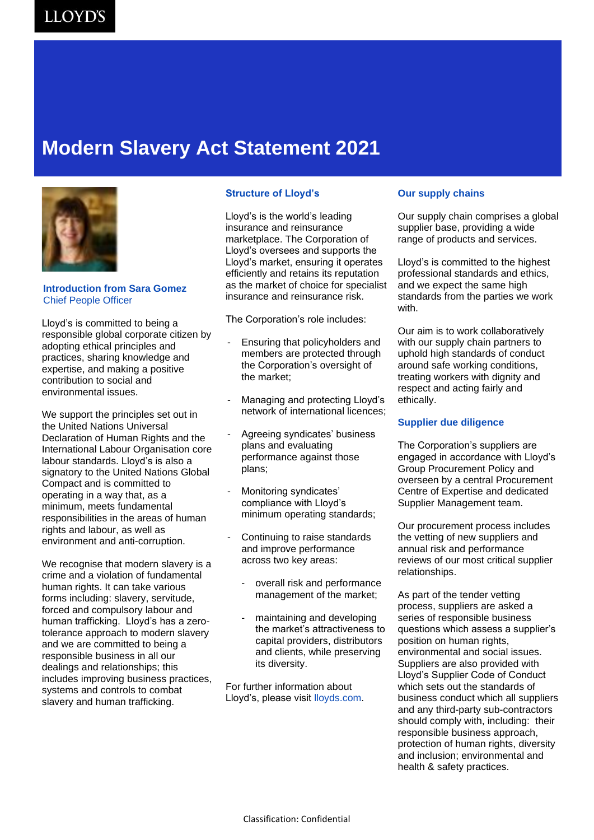### **Modern Slavery Act Statement 2021**



#### **Introduction from Sara Gomez** Chief People Officer

Lloyd's is committed to being a responsible global corporate citizen by adopting ethical principles and practices, sharing knowledge and expertise, and making a positive contribution to social and environmental issues.

We support the principles set out in the United Nations Universal Declaration of Human Rights and the International Labour Organisation core labour standards. Lloyd's is also a signatory to the United Nations Global Compact and is committed to operating in a way that, as a minimum, meets fundamental responsibilities in the areas of human rights and labour, as well as environment and anti-corruption.

We recognise that modern slavery is a crime and a violation of fundamental human rights. It can take various forms including: slavery, servitude, forced and compulsory labour and human trafficking. Lloyd's has a zerotolerance approach to modern slavery and we are committed to being a responsible business in all our dealings and relationships; this includes improving business practices, systems and controls to combat slavery and human trafficking.

#### **Structure of Lloyd's**

Lloyd's is the world's leading insurance and reinsurance marketplace. The Corporation of Lloyd's oversees and supports the Lloyd's market, ensuring it operates efficiently and retains its reputation as the market of choice for specialist insurance and reinsurance risk.

The Corporation's role includes:

- Ensuring that policyholders and members are protected through the Corporation's oversight of the market;
- Managing and protecting Lloyd's network of international licences;
- Agreeing syndicates' business plans and evaluating performance against those plans;
- Monitoring syndicates' compliance with Lloyd's minimum operating standards;
- Continuing to raise standards and improve performance across two key areas:
	- overall risk and performance management of the market;
	- maintaining and developing the market's attractiveness to capital providers, distributors and clients, while preserving its diversity.

For further information about Lloyd's, please visit lloyds.com.

#### **Our supply chains**

Our supply chain comprises a global supplier base, providing a wide range of products and services.

Lloyd's is committed to the highest professional standards and ethics, and we expect the same high standards from the parties we work with.

Our aim is to work collaboratively with our supply chain partners to uphold high standards of conduct around safe working conditions, treating workers with dignity and respect and acting fairly and ethically.

### **Supplier due diligence**

The Corporation's suppliers are engaged in accordance with Lloyd's Group Procurement Policy and overseen by a central Procurement Centre of Expertise and dedicated Supplier Management team.

Our procurement process includes the vetting of new suppliers and annual risk and performance reviews of our most critical supplier relationships.

As part of the tender vetting process, suppliers are asked a series of responsible business questions which assess a supplier's position on human rights, environmental and social issues. Suppliers are also provided with Lloyd's Supplier Code of Conduct which sets out the standards of business conduct which all suppliers and any third-party sub-contractors should comply with, including: their responsible business approach, protection of human rights, diversity and inclusion; environmental and health & safety practices.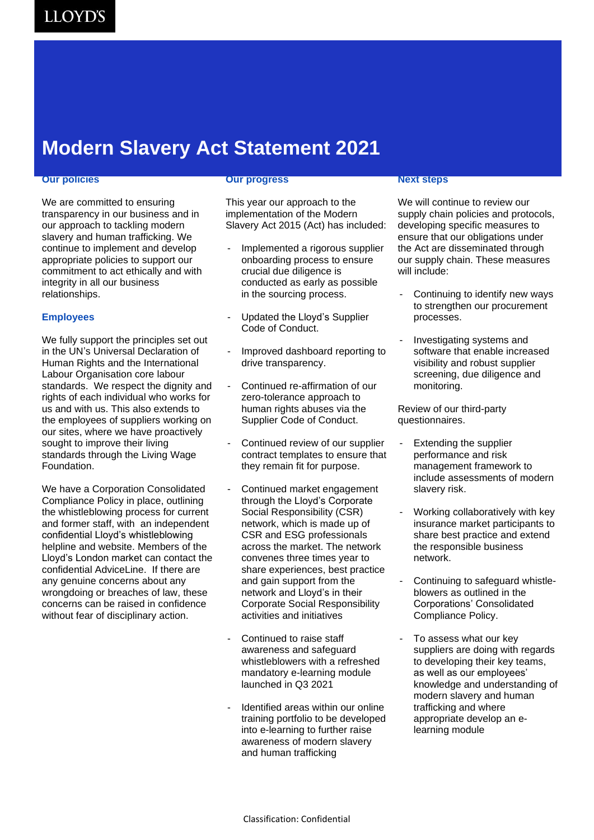## **Modern Slavery Act Statement 2021**

#### **Our policies**

We are committed to ensuring transparency in our business and in our approach to tackling modern slavery and human trafficking. We continue to implement and develop appropriate policies to support our commitment to act ethically and with integrity in all our business relationships.

#### **Employees**

We fully support the principles set out in the UN's Universal Declaration of Human Rights and the International Labour Organisation core labour standards. We respect the dignity and rights of each individual who works for us and with us. This also extends to the employees of suppliers working on our sites, where we have proactively sought to improve their living standards through the Living Wage Foundation.

We have a Corporation Consolidated Compliance Policy in place, outlining the whistleblowing process for current and former staff, with an independent confidential Lloyd's whistleblowing helpline and website. Members of the Lloyd's London market can contact the confidential AdviceLine. If there are any genuine concerns about any wrongdoing or breaches of law, these concerns can be raised in confidence without fear of disciplinary action.

#### **Our progress**

This year our approach to the implementation of the Modern Slavery Act 2015 (Act) has included:

- Implemented a rigorous supplier onboarding process to ensure crucial due diligence is conducted as early as possible in the sourcing process.
- Updated the Lloyd's Supplier Code of Conduct.
- Improved dashboard reporting to drive transparency.
- Continued re-affirmation of our zero-tolerance approach to human rights abuses via the Supplier Code of Conduct.
- Continued review of our supplier contract templates to ensure that they remain fit for purpose.
- Continued market engagement through the Lloyd's Corporate Social Responsibility (CSR) network, which is made up of CSR and ESG professionals across the market. The network convenes three times year to share experiences, best practice and gain support from the network and Lloyd's in their Corporate Social Responsibility activities and initiatives
- Continued to raise staff awareness and safeguard whistleblowers with a refreshed mandatory e-learning module launched in Q3 2021
- Identified areas within our online training portfolio to be developed into e-learning to further raise awareness of modern slavery and human trafficking

#### **Next steps**

We will continue to review our supply chain policies and protocols, developing specific measures to ensure that our obligations under the Act are disseminated through our supply chain. These measures will include:

- Continuing to identify new ways to strengthen our procurement processes.
- Investigating systems and software that enable increased visibility and robust supplier screening, due diligence and monitoring.

Review of our third-party questionnaires.

- Extending the supplier performance and risk management framework to include assessments of modern slavery risk.
- Working collaboratively with key insurance market participants to share best practice and extend the responsible business network.
- Continuing to safeguard whistleblowers as outlined in the Corporations' Consolidated Compliance Policy.
- To assess what our key suppliers are doing with regards to developing their key teams, as well as our employees' knowledge and understanding of modern slavery and human trafficking and where appropriate develop an elearning module